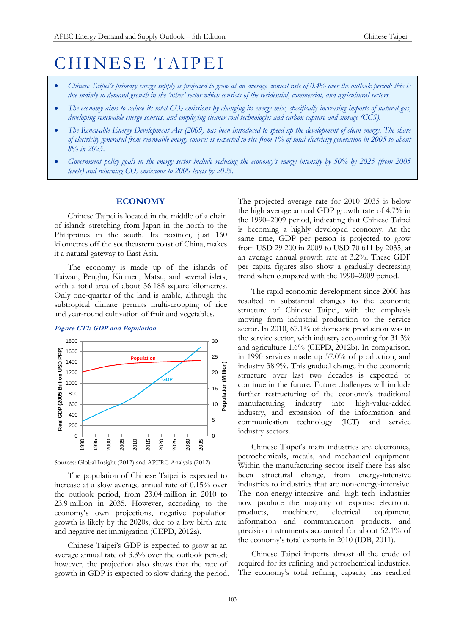# CHINESE TAIPEI

- *Chinese Taipei's primary energy supply is projected to grow at an average annual rate of 0.4% over the outlook period; this is due mainly to demand growth in the 'other' sector which consists of the residential, commercial, and agricultural sectors.*
- *The economy aims to reduce its total CO<sup>2</sup> emissions by changing its energy mix, specifically increasing imports of natural gas, developing renewable energy sources, and employing cleaner coal technologies and carbon capture and storage (CCS).*
- *The Renewable Energy Development Act (2009) has been introduced to speed up the development of clean energy. The share of electricity generated from renewable energy sources is expected to rise from 1% of total electricity generation in 2005 to about 8% in 2025.*
- *Government policy goals in the energy sector include reducing the economy's energy intensity by 50% by 2025 (from 2005 levels) and returning CO<sup>2</sup> emissions to 2000 levels by 2025.*

# **ECONOMY**

Chinese Taipei is located in the middle of a chain of islands stretching from Japan in the north to the Philippines in the south. Its position, just 160 kilometres off the southeastern coast of China, makes it a natural gateway to East Asia.

The economy is made up of the islands of Taiwan, Penghu, Kinmen, Matsu, and several islets, with a total area of about 36 188 square kilometres. Only one-quarter of the land is arable, although the subtropical climate permits multi-cropping of rice and year-round cultivation of fruit and vegetables.

#### **Figure CT1: GDP and Population**



Sources: Global Insight (2012) and APERC Analysis (2012)

The population of Chinese Taipei is expected to increase at a slow average annual rate of 0.15% over the outlook period, from 23.04 million in 2010 to 23.9 million in 2035. However, according to the economy's own projections, negative population growth is likely by the 2020s, due to a low birth rate and negative net immigration (CEPD, 2012a).

Chinese Taipei's GDP is expected to grow at an average annual rate of 3.3% over the outlook period; however, the projection also shows that the rate of growth in GDP is expected to slow during the period. The projected average rate for 2010–2035 is below the high average annual GDP growth rate of 4.7% in the 1990–2009 period, indicating that Chinese Taipei is becoming a highly developed economy. At the same time, GDP per person is projected to grow from USD 29 200 in 2009 to USD 70 611 by 2035, at an average annual growth rate at 3.2%. These GDP per capita figures also show a gradually decreasing trend when compared with the 1990–2009 period.

The rapid economic development since 2000 has resulted in substantial changes to the economic structure of Chinese Taipei, with the emphasis moving from industrial production to the service sector. In 2010, 67.1% of domestic production was in the service sector, with industry accounting for 31.3% and agriculture 1.6% (CEPD, 2012b). In comparison, in 1990 services made up 57.0% of production, and industry 38.9%. This gradual change in the economic structure over last two decades is expected to continue in the future. Future challenges will include further restructuring of the economy's traditional manufacturing industry into high-value-added industry, and expansion of the information and communication technology (ICT) and service industry sectors.

Chinese Taipei's main industries are electronics, petrochemicals, metals, and mechanical equipment. Within the manufacturing sector itself there has also been structural change, from energy-intensive industries to industries that are non-energy-intensive. The non-energy-intensive and high-tech industries now produce the majority of exports: electronic products, machinery, electrical equipment, information and communication products, and precision instruments accounted for about 52.1% of the economy's total exports in 2010 (IDB, 2011).

Chinese Taipei imports almost all the crude oil required for its refining and petrochemical industries. The economy's total refining capacity has reached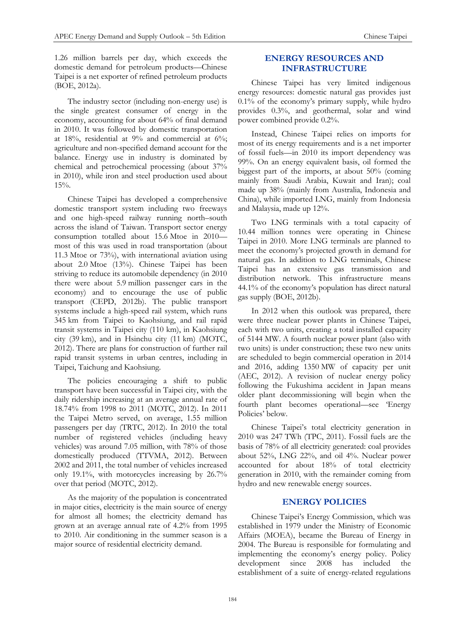1.26 million barrels per day, which exceeds the domestic demand for petroleum products—Chinese Taipei is a net exporter of refined petroleum products (BOE, 2012a).

The industry sector (including non-energy use) is the single greatest consumer of energy in the economy, accounting for about 64% of final demand in 2010. It was followed by domestic transportation at 18%, residential at 9% and commercial at 6%; agriculture and non-specified demand account for the balance. Energy use in industry is dominated by chemical and petrochemical processing (about 37% in 2010), while iron and steel production used about 15%.

Chinese Taipei has developed a comprehensive domestic transport system including two freeways and one high-speed railway running north–south across the island of Taiwan. Transport sector energy consumption totalled about 15.6 Mtoe in 2010 most of this was used in road transportation (about 11.3 Mtoe or 73%), with international aviation using about 2.0 Mtoe (13%). Chinese Taipei has been striving to reduce its automobile dependency (in 2010 there were about 5.9 million passenger cars in the economy) and to encourage the use of public transport (CEPD, 2012b). The public transport systems include a high-speed rail system, which runs 345 km from Taipei to Kaohsiung, and rail rapid transit systems in Taipei city (110 km), in Kaohsiung city (39 km), and in Hsinchu city (11 km) (MOTC, 2012). There are plans for construction of further rail rapid transit systems in urban centres, including in Taipei, Taichung and Kaohsiung.

The policies encouraging a shift to public transport have been successful in Taipei city, with the daily ridership increasing at an average annual rate of 18.74% from 1998 to 2011 (MOTC, 2012). In 2011 the Taipei Metro served, on average, 1.55 million passengers per day (TRTC, 2012). In 2010 the total number of registered vehicles (including heavy vehicles) was around 7.05 million, with 78% of those domestically produced (TTVMA, 2012). Between 2002 and 2011, the total number of vehicles increased only 19.1%, with motorcycles increasing by 26.7% over that period (MOTC, 2012).

As the majority of the population is concentrated in major cities, electricity is the main source of energy for almost all homes; the electricity demand has grown at an average annual rate of 4.2% from 1995 to 2010. Air conditioning in the summer season is a major source of residential electricity demand.

# **ENERGY RESOURCES AND INFRASTRUCTURE**

Chinese Taipei has very limited indigenous energy resources: domestic natural gas provides just 0.1% of the economy's primary supply, while hydro provides 0.3%, and geothermal, solar and wind power combined provide 0.2%.

Instead, Chinese Taipei relies on imports for most of its energy requirements and is a net importer of fossil fuels—in 2010 its import dependency was 99%. On an energy equivalent basis, oil formed the biggest part of the imports, at about 50% (coming mainly from Saudi Arabia, Kuwait and Iran); coal made up 38% (mainly from Australia, Indonesia and China), while imported LNG, mainly from Indonesia and Malaysia, made up 12%.

Two LNG terminals with a total capacity of 10.44 million tonnes were operating in Chinese Taipei in 2010. More LNG terminals are planned to meet the economy's projected growth in demand for natural gas. In addition to LNG terminals, Chinese Taipei has an extensive gas transmission and distribution network. This infrastructure means 44.1% of the economy's population has direct natural gas supply (BOE, 2012b).

In 2012 when this outlook was prepared, there were three nuclear power plants in Chinese Taipei, each with two units, creating a total installed capacity of 5144 MW. A fourth nuclear power plant (also with two units) is under construction; these two new units are scheduled to begin commercial operation in 2014 and 2016, adding 1350 MW of capacity per unit (AEC, 2012). A revision of nuclear energy policy following the Fukushima accident in Japan means older plant decommissioning will begin when the fourth plant becomes operational—see 'Energy Policies' below.

Chinese Taipei's total electricity generation in 2010 was 247 TWh (TPC, 2011). Fossil fuels are the basis of 78% of all electricity generated: coal provides about 52%, LNG 22%, and oil 4%. Nuclear power accounted for about 18% of total electricity generation in 2010, with the remainder coming from hydro and new renewable energy sources.

# **ENERGY POLICIES**

Chinese Taipei's Energy Commission, which was established in 1979 under the Ministry of Economic Affairs (MOEA), became the Bureau of Energy in 2004. The Bureau is responsible for formulating and implementing the economy's energy policy. Policy development since 2008 has included the establishment of a suite of energy-related regulations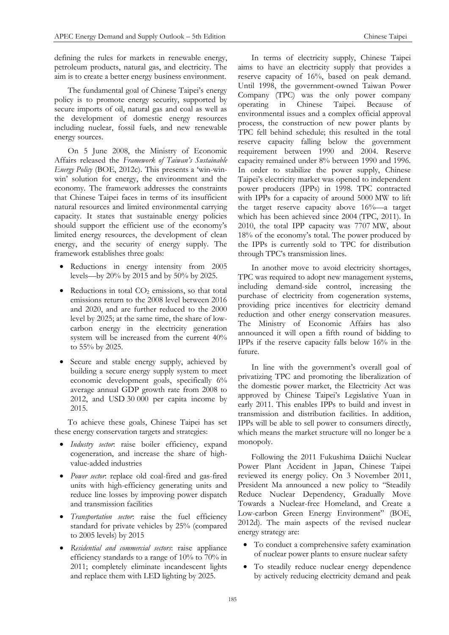defining the rules for markets in renewable energy, petroleum products, natural gas, and electricity. The aim is to create a better energy business environment.

The fundamental goal of Chinese Taipei's energy policy is to promote energy security, supported by secure imports of oil, natural gas and coal as well as the development of domestic energy resources including nuclear, fossil fuels, and new renewable energy sources.

On 5 June 2008, the Ministry of Economic Affairs released the *Framework of Taiwan's Sustainable Energy Policy* (BOE, 2012c). This presents a 'win-winwin' solution for energy, the environment and the economy. The framework addresses the constraints that Chinese Taipei faces in terms of its insufficient natural resources and limited environmental carrying capacity. It states that sustainable energy policies should support the efficient use of the economy's limited energy resources, the development of clean energy, and the security of energy supply. The framework establishes three goals:

- Reductions in energy intensity from 2005 levels—by 20% by 2015 and by 50% by 2025.
- Reductions in total  $CO<sub>2</sub>$  emissions, so that total emissions return to the 2008 level between 2016 and 2020, and are further reduced to the 2000 level by 2025; at the same time, the share of lowcarbon energy in the electricity generation system will be increased from the current 40% to 55% by 2025.
- Secure and stable energy supply, achieved by building a secure energy supply system to meet economic development goals, specifically 6% average annual GDP growth rate from 2008 to 2012, and USD 30 000 per capita income by 2015.

To achieve these goals, Chinese Taipei has set these energy conservation targets and strategies:

- *Industry sector*: raise boiler efficiency, expand cogeneration, and increase the share of highvalue-added industries
- *Power sector*: replace old coal-fired and gas-fired units with high-efficiency generating units and reduce line losses by improving power dispatch and transmission facilities
- *Transportation sector*: raise the fuel efficiency standard for private vehicles by 25% (compared to 2005 levels) by 2015
- *Residential and commercial sectors*: raise appliance efficiency standards to a range of 10% to 70% in 2011; completely eliminate incandescent lights and replace them with LED lighting by 2025.

In terms of electricity supply, Chinese Taipei aims to have an electricity supply that provides a reserve capacity of 16%, based on peak demand. Until 1998, the government-owned Taiwan Power Company (TPC) was the only power company<br>operating in Chinese Taipei. Because of operating in Chinese Taipei. Because of environmental issues and a complex official approval process, the construction of new power plants by TPC fell behind schedule; this resulted in the total reserve capacity falling below the government requirement between 1990 and 2004. Reserve capacity remained under 8% between 1990 and 1996. In order to stabilize the power supply, Chinese Taipei's electricity market was opened to independent power producers (IPPs) in 1998. TPC contracted with IPPs for a capacity of around 5000 MW to lift the target reserve capacity above 16%—a target which has been achieved since 2004 (TPC, 2011). In 2010, the total IPP capacity was 7707 MW, about 18% of the economy's total. The power produced by the IPPs is currently sold to TPC for distribution through TPC's transmission lines.

In another move to avoid electricity shortages, TPC was required to adopt new management systems, including demand-side control, increasing the purchase of electricity from cogeneration systems, providing price incentives for electricity demand reduction and other energy conservation measures. The Ministry of Economic Affairs has also announced it will open a fifth round of bidding to IPPs if the reserve capacity falls below 16% in the future.

In line with the government's overall goal of privatizing TPC and promoting the liberalization of the domestic power market, the Electricity Act was approved by Chinese Taipei's Legislative Yuan in early 2011. This enables IPPs to build and invest in transmission and distribution facilities. In addition, IPPs will be able to sell power to consumers directly, which means the market structure will no longer be a monopoly.

Following the 2011 Fukushima Daiichi Nuclear Power Plant Accident in Japan, Chinese Taipei reviewed its energy policy. On 3 November 2011, President Ma announced a new policy to "Steadily Reduce Nuclear Dependency, Gradually Move Towards a Nuclear-free Homeland, and Create a Low-carbon Green Energy Environment" (BOE, 2012d). The main aspects of the revised nuclear energy strategy are:

- To conduct a comprehensive safety examination of nuclear power plants to ensure nuclear safety
- To steadily reduce nuclear energy dependence by actively reducing electricity demand and peak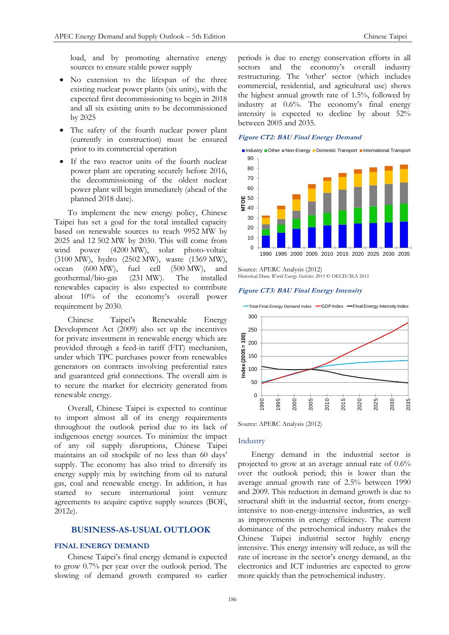load, and by promoting alternative energy sources to ensure stable power supply

- No extension to the lifespan of the three existing nuclear power plants (six units), with the expected first decommissioning to begin in 2018 and all six existing units to be decommissioned by 2025
- The safety of the fourth nuclear power plant (currently in construction) must be ensured prior to its commercial operation
- If the two reactor units of the fourth nuclear power plant are operating securely before 2016, the decommissioning of the oldest nuclear power plant will begin immediately (ahead of the planned 2018 date).

To implement the new energy policy, Chinese Taipei has set a goal for the total installed capacity based on renewable sources to reach 9952 MW by 2025 and 12 502 MW by 2030. This will come from wind power (4200 MW), solar photo-voltaic (3100 MW), hydro (2502 MW), waste (1369 MW), ocean (600 MW), fuel cell (500 MW), and geothermal/bio-gas (231 MW). The installed renewables capacity is also expected to contribute about 10% of the economy's overall power requirement by 2030.

Chinese Taipei's Renewable Energy Development Act (2009) also set up the incentives for private investment in renewable energy which are provided through a feed-in tariff (FIT) mechanism, under which TPC purchases power from renewables generators on contracts involving preferential rates and guaranteed grid connections. The overall aim is to secure the market for electricity generated from renewable energy.

Overall, Chinese Taipei is expected to continue to import almost all of its energy requirements throughout the outlook period due to its lack of indigenous energy sources. To minimize the impact of any oil supply disruptions, Chinese Taipei maintains an oil stockpile of no less than 60 days' supply. The economy has also tried to diversify its energy supply mix by switching from oil to natural gas, coal and renewable energy. In addition, it has started to secure international joint venture agreements to acquire captive supply sources (BOE, 2012e).

# **BUSINESS-AS-USUAL OUTLOOK**

# **FINAL ENERGY DEMAND**

Chinese Taipei's final energy demand is expected to grow 0.7% per year over the outlook period. The slowing of demand growth compared to earlier

periods is due to energy conservation efforts in all sectors and the economy's overall industry restructuring. The 'other' sector (which includes commercial, residential, and agricultural use) shows the highest annual growth rate of 1.5%, followed by industry at 0.6%. The economy's final energy intensity is expected to decline by about 52% between 2005 and 2035.

# **Figure CT2: BAU Final Energy Demand**



Source: APERC Analysis (2012) Historical Data: *World Energy Statistics 2011* © OECD/IEA 2011

#### **Figure CT3: BAU Final Energy Intensity**



Source: APERC Analysis (2012)

## Industry

Energy demand in the industrial sector is projected to grow at an average annual rate of 0.6% over the outlook period; this is lower than the average annual growth rate of 2.5% between 1990 and 2009. This reduction in demand growth is due to structural shift in the industrial sector, from energyintensive to non-energy-intensive industries, as well as improvements in energy efficiency. The current dominance of the petrochemical industry makes the Chinese Taipei industrial sector highly energy intensive. This energy intensity will reduce, as will the rate of increase in the sector's energy demand, as the electronics and ICT industries are expected to grow more quickly than the petrochemical industry.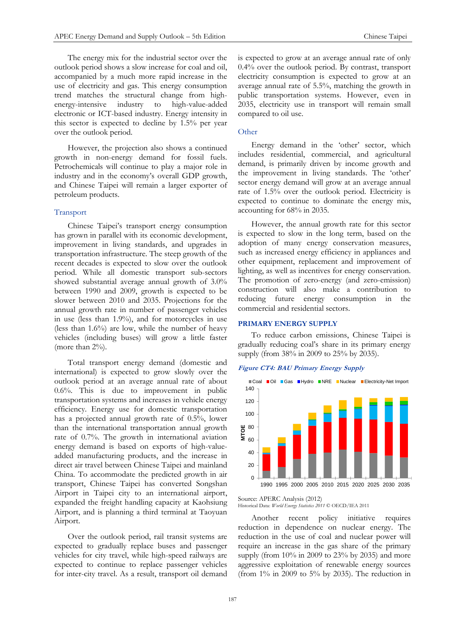The energy mix for the industrial sector over the outlook period shows a slow increase for coal and oil, accompanied by a much more rapid increase in the use of electricity and gas. This energy consumption trend matches the structural change from high-energy-intensive industry to high-value-added to high-value-added electronic or ICT-based industry. Energy intensity in this sector is expected to decline by 1.5% per year over the outlook period.

However, the projection also shows a continued growth in non-energy demand for fossil fuels. Petrochemicals will continue to play a major role in industry and in the economy's overall GDP growth, and Chinese Taipei will remain a larger exporter of petroleum products.

# Transport

Chinese Taipei's transport energy consumption has grown in parallel with its economic development, improvement in living standards, and upgrades in transportation infrastructure. The steep growth of the recent decades is expected to slow over the outlook period. While all domestic transport sub-sectors showed substantial average annual growth of 3.0% between 1990 and 2009, growth is expected to be slower between 2010 and 2035. Projections for the annual growth rate in number of passenger vehicles in use (less than 1.9%), and for motorcycles in use (less than 1.6%) are low, while the number of heavy vehicles (including buses) will grow a little faster (more than  $2\%$ ).

Total transport energy demand (domestic and international) is expected to grow slowly over the outlook period at an average annual rate of about 0.6%. This is due to improvement in public transportation systems and increases in vehicle energy efficiency. Energy use for domestic transportation has a projected annual growth rate of 0.5%, lower than the international transportation annual growth rate of 0.7%. The growth in international aviation energy demand is based on exports of high-valueadded manufacturing products, and the increase in direct air travel between Chinese Taipei and mainland China. To accommodate the predicted growth in air transport, Chinese Taipei has converted Songshan Airport in Taipei city to an international airport, expanded the freight handling capacity at Kaohsiung Airport, and is planning a third terminal at Taoyuan Airport.

Over the outlook period, rail transit systems are expected to gradually replace buses and passenger vehicles for city travel, while high-speed railways are expected to continue to replace passenger vehicles for inter-city travel. As a result, transport oil demand

is expected to grow at an average annual rate of only 0.4% over the outlook period. By contrast, transport electricity consumption is expected to grow at an average annual rate of 5.5%, matching the growth in public transportation systems. However, even in 2035, electricity use in transport will remain small compared to oil use.

# **Other**

Energy demand in the 'other' sector, which includes residential, commercial, and agricultural demand, is primarily driven by income growth and the improvement in living standards. The 'other' sector energy demand will grow at an average annual rate of 1.5% over the outlook period. Electricity is expected to continue to dominate the energy mix, accounting for 68% in 2035.

However, the annual growth rate for this sector is expected to slow in the long term, based on the adoption of many energy conservation measures, such as increased energy efficiency in appliances and other equipment, replacement and improvement of lighting, as well as incentives for energy conservation. The promotion of zero-energy (and zero-emission) construction will also make a contribution to reducing future energy consumption in the commercial and residential sectors.

## **PRIMARY ENERGY SUPPLY**

To reduce carbon emissions, Chinese Taipei is gradually reducing coal's share in its primary energy supply (from 38% in 2009 to 25% by 2035).

#### **Figure CT4: BAU Primary Energy Supply**



#### Source: APERC Analysis (2012) Historical Data: *World Energy Statistics 2011* © OECD/IEA 2011

Another recent policy initiative requires reduction in dependence on nuclear energy. The reduction in the use of coal and nuclear power will require an increase in the gas share of the primary supply (from 10% in 2009 to 23% by 2035) and more aggressive exploitation of renewable energy sources (from  $1\%$  in 2009 to  $5\%$  by 2035). The reduction in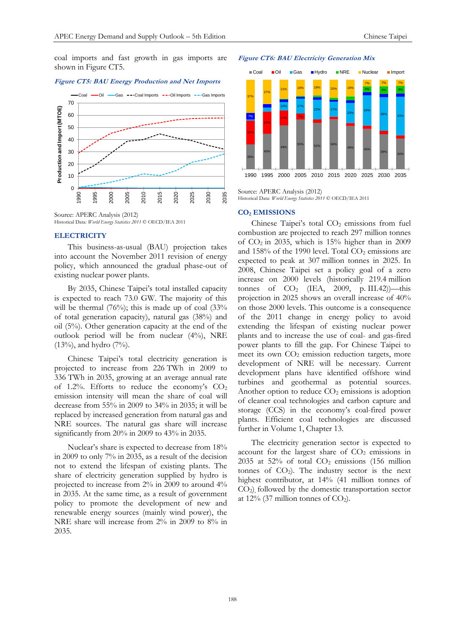coal imports and fast growth in gas imports are shown in Figure CT5.

#### **Figure CT5: BAU Energy Production and Net Imports**



Historical Data: *World Energy Statistics 2011* © OECD/IEA 2011

## **ELECTRICITY**

This business-as-usual (BAU) projection takes into account the November 2011 revision of energy policy, which announced the gradual phase-out of existing nuclear power plants.

By 2035, Chinese Taipei's total installed capacity is expected to reach 73.0 GW. The majority of this will be thermal  $(76%)$ ; this is made up of coal  $(33%)$ of total generation capacity), natural gas (38%) and oil (5%). Other generation capacity at the end of the outlook period will be from nuclear (4%), NRE (13%), and hydro (7%).

Chinese Taipei's total electricity generation is projected to increase from 226 TWh in 2009 to 336 TWh in 2035, growing at an average annual rate of 1.2%. Efforts to reduce the economy's  $CO<sub>2</sub>$ emission intensity will mean the share of coal will decrease from 55% in 2009 to 34% in 2035; it will be replaced by increased generation from natural gas and NRE sources. The natural gas share will increase significantly from 20% in 2009 to 43% in 2035.

Nuclear's share is expected to decrease from 18% in 2009 to only 7% in 2035, as a result of the decision not to extend the lifespan of existing plants. The share of electricity generation supplied by hydro is projected to increase from 2% in 2009 to around 4% in 2035. At the same time, as a result of government policy to promote the development of new and renewable energy sources (mainly wind power), the NRE share will increase from 2% in 2009 to 8% in 2035.

#### **Figure CT6: BAU Electricity Generation Mix**



Source: APERC Analysis (2012) Historical Data: *World Energy Statistics 2011* © OECD/IEA 2011

# **CO<sup>2</sup> EMISSIONS**

Chinese Taipei's total  $CO<sub>2</sub>$  emissions from fuel combustion are projected to reach 297 million tonnes of  $CO<sub>2</sub>$  in 2035, which is 15% higher than in 2009 and  $158\%$  of the 1990 level. Total  $CO<sub>2</sub>$  emissions are expected to peak at 307 million tonnes in 2025. In 2008, Chinese Taipei set a policy goal of a zero increase on 2000 levels (historically 219.4 million tonnes of  $CO<sub>2</sub>$  (IEA, 2009, p. III.42))—this projection in 2025 shows an overall increase of 40% on those 2000 levels. This outcome is a consequence of the 2011 change in energy policy to avoid extending the lifespan of existing nuclear power plants and to increase the use of coal- and gas-fired power plants to fill the gap. For Chinese Taipei to meet its own  $CO<sub>2</sub>$  emission reduction targets, more development of NRE will be necessary. Current development plans have identified offshore wind turbines and geothermal as potential sources. Another option to reduce  $CO<sub>2</sub>$  emissions is adoption of cleaner coal technologies and carbon capture and storage (CCS) in the economy's coal-fired power plants. Efficient coal technologies are discussed further in Volume 1, Chapter 13.

The electricity generation sector is expected to account for the largest share of  $CO<sub>2</sub>$  emissions in 2035 at 52% of total  $CO<sub>2</sub>$  emissions (156 million tonnes of  $CO<sub>2</sub>$ ). The industry sector is the next highest contributor, at 14% (41 million tonnes of CO2), followed by the domestic transportation sector at  $12\%$  (37 million tonnes of CO<sub>2</sub>).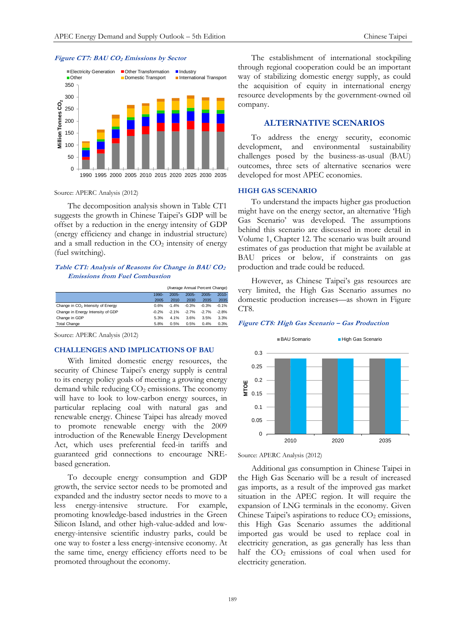

# **Figure CT7: BAU CO<sup>2</sup> Emissions by Sector**

Source: APERC Analysis (2012)

The decomposition analysis shown in Table CT1 suggests the growth in Chinese Taipei's GDP will be offset by a reduction in the energy intensity of GDP (energy efficiency and change in industrial structure) and a small reduction in the  $CO<sub>2</sub>$  intensity of energy (fuel switching).

# **Table CT1: Analysis of Reasons for Change in BAU CO<sup>2</sup> Emissions from Fuel Combustion**

|                                               |         | (Average Annual Percent Change) |          |          |          |
|-----------------------------------------------|---------|---------------------------------|----------|----------|----------|
|                                               | 1990-   | $2005 -$                        | $2005 -$ | $2005 -$ | $2010 -$ |
|                                               | 2005    | 2010                            | 2030     | 2035     | 2035     |
| Change in CO <sub>2</sub> Intensity of Energy | 0.6%    | $-1.4%$                         | $-0.3%$  | $-0.3%$  | $-0.1%$  |
| Change in Energy Intensity of GDP             | $-0.2%$ | $-2.1%$                         | $-2.7%$  | $-2.7%$  | $-2.8%$  |
| Change in GDP                                 | 5.3%    | 4.1%                            | 3.6%     | 3.5%     | 3.3%     |
| <b>Total Change</b>                           | 5.8%    | 0.5%                            | 0.5%     | 0.4%     | 0.3%     |

Source: APERC Analysis (2012)

## **CHALLENGES AND IMPLICATIONS OF BAU**

With limited domestic energy resources, the security of Chinese Taipei's energy supply is central to its energy policy goals of meeting a growing energy demand while reducing  $CO<sub>2</sub>$  emissions. The economy will have to look to low-carbon energy sources, in particular replacing coal with natural gas and renewable energy. Chinese Taipei has already moved to promote renewable energy with the 2009 introduction of the Renewable Energy Development Act, which uses preferential feed-in tariffs and guaranteed grid connections to encourage NREbased generation.

To decouple energy consumption and GDP growth, the service sector needs to be promoted and expanded and the industry sector needs to move to a less energy-intensive structure. For example, promoting knowledge-based industries in the Green Silicon Island, and other high-value-added and lowenergy-intensive scientific industry parks, could be one way to foster a less energy-intensive economy. At the same time, energy efficiency efforts need to be promoted throughout the economy.

The establishment of international stockpiling through regional cooperation could be an important way of stabilizing domestic energy supply, as could the acquisition of equity in international energy resource developments by the government-owned oil company.

# **ALTERNATIVE SCENARIOS**

To address the energy security, economic development, and environmental sustainability challenges posed by the business-as-usual (BAU) outcomes, three sets of alternative scenarios were developed for most APEC economies.

#### **HIGH GAS SCENARIO**

To understand the impacts higher gas production might have on the energy sector, an alternative 'High Gas Scenario' was developed. The assumptions behind this scenario are discussed in more detail in Volume 1, Chapter 12. The scenario was built around estimates of gas production that might be available at BAU prices or below, if constraints on gas production and trade could be reduced.

However, as Chinese Taipei's gas resources are very limited, the High Gas Scenario assumes no domestic production increases—as shown in Figure CT<sub>8</sub>.

#### **Figure CT8: High Gas Scenario – Gas Production**



Source: APERC Analysis (2012)

Additional gas consumption in Chinese Taipei in the High Gas Scenario will be a result of increased gas imports, as a result of the improved gas market situation in the APEC region. It will require the expansion of LNG terminals in the economy. Given Chinese Taipei's aspirations to reduce  $CO<sub>2</sub>$  emissions, this High Gas Scenario assumes the additional imported gas would be used to replace coal in electricity generation, as gas generally has less than half the  $CO<sub>2</sub>$  emissions of coal when used for electricity generation.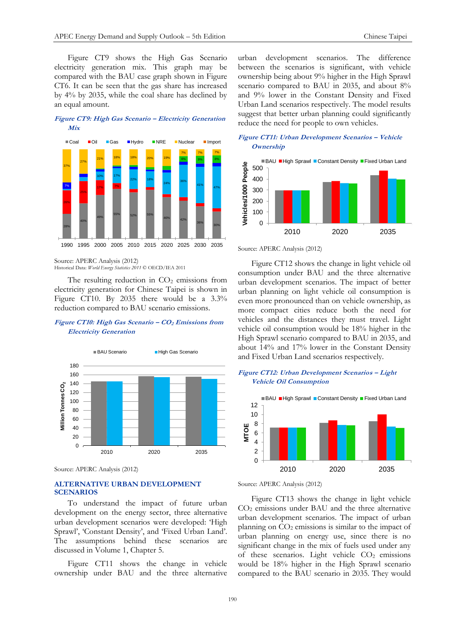Figure CT9 shows the High Gas Scenario electricity generation mix. This graph may be compared with the BAU case graph shown in Figure CT6. It can be seen that the gas share has increased by 4% by 2035, while the coal share has declined by an equal amount.

**Figure CT9: High Gas Scenario – Electricity Generation Mix**



Source: APERC Analysis (2012) Historical Data: *World Energy Statistics 2011* © OECD/IEA 2011

The resulting reduction in  $CO<sub>2</sub>$  emissions from electricity generation for Chinese Taipei is shown in Figure CT10. By 2035 there would be a  $3.3\%$ reduction compared to BAU scenario emissions.

## **Figure CT10: High Gas Scenario – CO<sup>2</sup> Emissions from Electricity Generation**



Source: APERC Analysis (2012)

# **ALTERNATIVE URBAN DEVELOPMENT SCENARIOS**

To understand the impact of future urban development on the energy sector, three alternative urban development scenarios were developed: 'High Sprawl', 'Constant Density', and 'Fixed Urban Land'. The assumptions behind these scenarios are discussed in Volume 1, Chapter 5.

Figure CT11 shows the change in vehicle ownership under BAU and the three alternative urban development scenarios. The difference between the scenarios is significant, with vehicle ownership being about 9% higher in the High Sprawl scenario compared to BAU in 2035, and about 8% and 9% lower in the Constant Density and Fixed Urban Land scenarios respectively. The model results suggest that better urban planning could significantly reduce the need for people to own vehicles.





Source: APERC Analysis (2012)

Figure CT12 shows the change in light vehicle oil consumption under BAU and the three alternative urban development scenarios. The impact of better urban planning on light vehicle oil consumption is even more pronounced than on vehicle ownership, as more compact cities reduce both the need for vehicles and the distances they must travel. Light vehicle oil consumption would be 18% higher in the High Sprawl scenario compared to BAU in 2035, and about 14% and 17% lower in the Constant Density and Fixed Urban Land scenarios respectively.

# **Figure CT12: Urban Development Scenarios – Light Vehicle Oil Consumption**



Source: APERC Analysis (2012)

Figure CT13 shows the change in light vehicle CO<sup>2</sup> emissions under BAU and the three alternative urban development scenarios. The impact of urban planning on  $CO<sub>2</sub>$  emissions is similar to the impact of urban planning on energy use, since there is no significant change in the mix of fuels used under any of these scenarios. Light vehicle  $CO<sub>2</sub>$  emissions would be 18% higher in the High Sprawl scenario compared to the BAU scenario in 2035. They would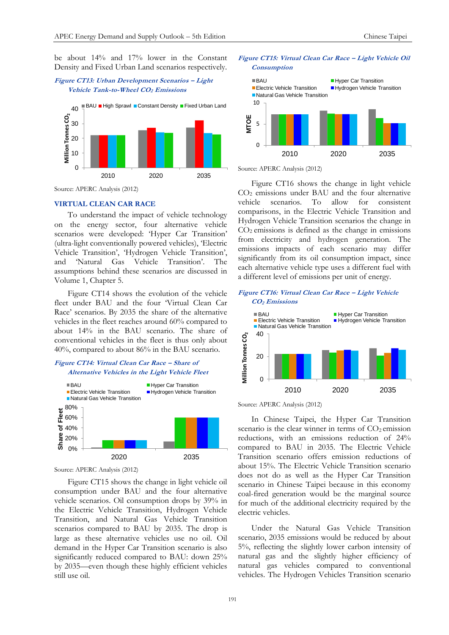be about 14% and 17% lower in the Constant Density and Fixed Urban Land scenarios respectively.

# **Figure CT13: Urban Development Scenarios – Light Vehicle Tank-to-Wheel CO2 Emissions**



Source: APERC Analysis (2012)

# **VIRTUAL CLEAN CAR RACE**

To understand the impact of vehicle technology on the energy sector, four alternative vehicle scenarios were developed: 'Hyper Car Transition' (ultra-light conventionally powered vehicles), 'Electric Vehicle Transition', 'Hydrogen Vehicle Transition', and 'Natural Gas Vehicle Transition'. The assumptions behind these scenarios are discussed in Volume 1, Chapter 5.

Figure CT14 shows the evolution of the vehicle fleet under BAU and the four 'Virtual Clean Car Race' scenarios. By 2035 the share of the alternative vehicles in the fleet reaches around 60% compared to about 14% in the BAU scenario. The share of conventional vehicles in the fleet is thus only about 40%, compared to about 86% in the BAU scenario.

# **Figure CT14: Virtual Clean Car Race – Share of Alternative Vehicles in the Light Vehicle Fleet**



Source: APERC Analysis (2012)

Figure CT15 shows the change in light vehicle oil consumption under BAU and the four alternative vehicle scenarios. Oil consumption drops by 39% in the Electric Vehicle Transition, Hydrogen Vehicle Transition, and Natural Gas Vehicle Transition scenarios compared to BAU by 2035. The drop is large as these alternative vehicles use no oil. Oil demand in the Hyper Car Transition scenario is also significantly reduced compared to BAU: down 25% by 2035—even though these highly efficient vehicles still use oil.

## **Figure CT15: Virtual Clean Car Race – Light Vehicle Oil Consumption**



Source: APERC Analysis (2012)

Figure CT16 shows the change in light vehicle CO<sup>2</sup> emissions under BAU and the four alternative vehicle scenarios. To allow for consistent comparisons, in the Electric Vehicle Transition and Hydrogen Vehicle Transition scenarios the change in  $CO<sub>2</sub>$  emissions is defined as the change in emissions from electricity and hydrogen generation. The emissions impacts of each scenario may differ significantly from its oil consumption impact, since each alternative vehicle type uses a different fuel with a different level of emissions per unit of energy.

# **Figure CT16: Virtual Clean Car Race – Light Vehicle CO2 Emissions**



Source: APERC Analysis (2012)

In Chinese Taipei, the Hyper Car Transition scenario is the clear winner in terms of  $CO<sub>2</sub>$  emission reductions, with an emissions reduction of 24% compared to BAU in 2035. The Electric Vehicle Transition scenario offers emission reductions of about 15%. The Electric Vehicle Transition scenario does not do as well as the Hyper Car Transition scenario in Chinese Taipei because in this economy coal-fired generation would be the marginal source for much of the additional electricity required by the electric vehicles.

Under the Natural Gas Vehicle Transition scenario, 2035 emissions would be reduced by about 5%, reflecting the slightly lower carbon intensity of natural gas and the slightly higher efficiency of natural gas vehicles compared to conventional vehicles. The Hydrogen Vehicles Transition scenario